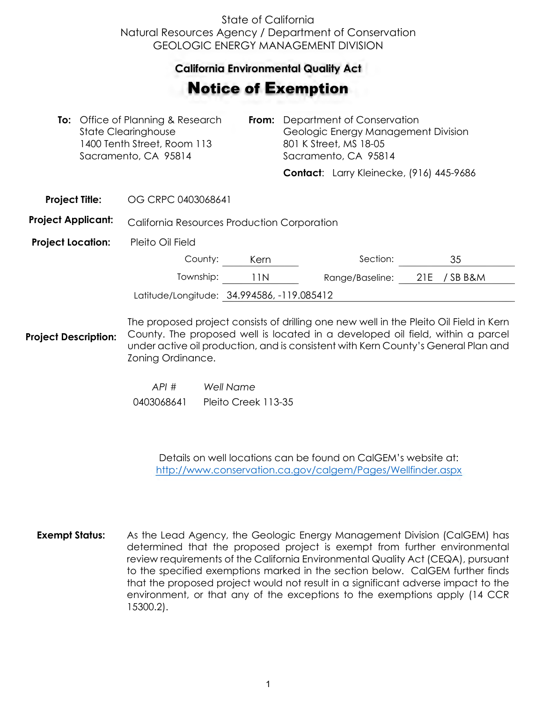## State of California Natural Resources Agency / Department of Conservation GEOLOGIC ENERGY MANAGEMENT DIVISION

## **California Environmental Quality Act**  California Environmental Quality Act

## Notice of Exemption **otice of Exemption**

|                           | <b>To:</b> Office of Planning & Research<br><b>State Clearinghouse</b><br>1400 Tenth Street, Room 113<br>Sacramento, CA 95814 |                                                                                                                                                                          | From: | Department of Conservation<br>Geologic Energy Management Division<br>801 K Street, MS 18-05<br>Sacramento, CA 95814 |                                          |     |        |  |
|---------------------------|-------------------------------------------------------------------------------------------------------------------------------|--------------------------------------------------------------------------------------------------------------------------------------------------------------------------|-------|---------------------------------------------------------------------------------------------------------------------|------------------------------------------|-----|--------|--|
|                           |                                                                                                                               |                                                                                                                                                                          |       |                                                                                                                     | Contact: Larry Kleinecke, (916) 445-9686 |     |        |  |
| <b>Project Title:</b>     |                                                                                                                               | OG CRPC 0403068641                                                                                                                                                       |       |                                                                                                                     |                                          |     |        |  |
| <b>Project Applicant:</b> |                                                                                                                               | California Resources Production Corporation                                                                                                                              |       |                                                                                                                     |                                          |     |        |  |
| <b>Project Location:</b>  |                                                                                                                               | Pleito Oil Field                                                                                                                                                         |       |                                                                                                                     |                                          |     |        |  |
|                           |                                                                                                                               | County:                                                                                                                                                                  | Kern  |                                                                                                                     | Section:                                 |     | 35     |  |
|                           |                                                                                                                               | Township:                                                                                                                                                                | 11N   |                                                                                                                     | Range/Baseline:                          | 21E | /SBB&M |  |
|                           |                                                                                                                               | Latitude/Longitude: 34.994586, -119.085412                                                                                                                               |       |                                                                                                                     |                                          |     |        |  |
| roject Description:       |                                                                                                                               | The proposed project consists of drilling one new well in the Pleito Oil Field in Kern<br>County. The proposed well is located in a developed oil field, within a parcel |       |                                                                                                                     |                                          |     |        |  |

**Proj** under active oil production, and is consistent with Kern County's General Plan and Zoning Ordinance.

> *API # Well Name*  0403068641 Pleito Creek 113-35

> > Details on well locations can be found on CalGEM's website at: <http://www.conservation.ca.gov/calgem/Pages/Wellfinder.aspx>

**Exempt Status:** As the Lead Agency, the Geologic Energy Management Division (CalGEM) has determined that the proposed project is exempt from further environmental review requirements of the California Environmental Quality Act (CEQA), pursuant to the specified exemptions marked in the section below. CalGEM further finds that the proposed project would not result in a significant adverse impact to the environment, or that any of the exceptions to the exemptions apply (14 CCR 15300.2).